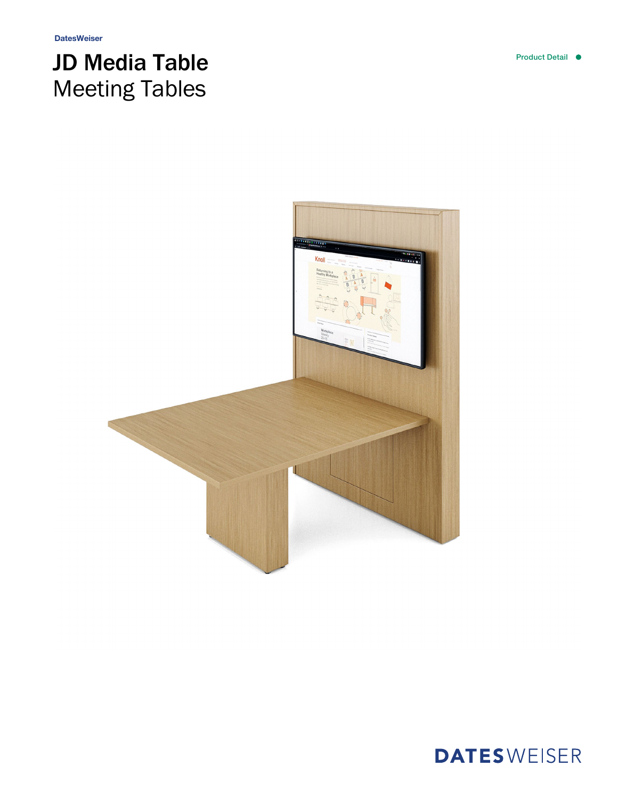## JD Media Table Meeting Tables



**DATESWEISER**